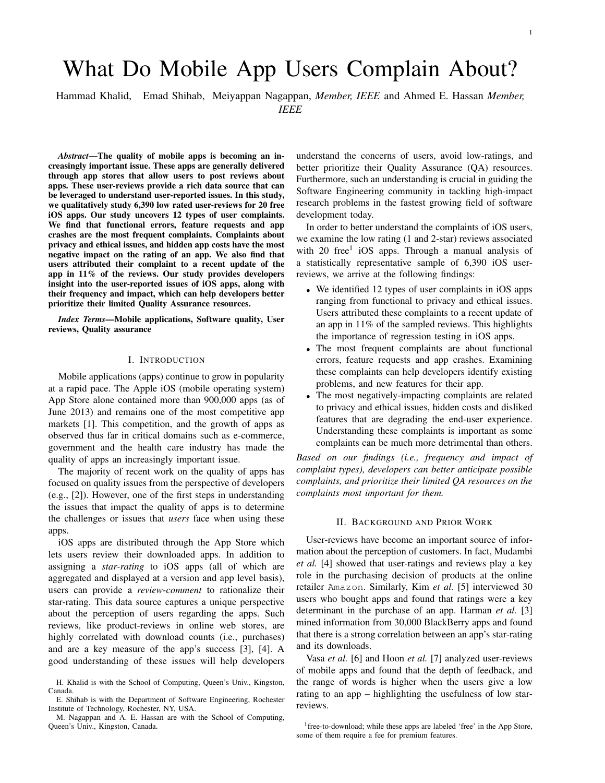# What Do Mobile App Users Complain About?

Hammad Khalid, Emad Shihab, Meiyappan Nagappan, *Member, IEEE* and Ahmed E. Hassan *Member, IEEE*

*Abstract*—The quality of mobile apps is becoming an increasingly important issue. These apps are generally delivered through app stores that allow users to post reviews about apps. These user-reviews provide a rich data source that can be leveraged to understand user-reported issues. In this study, we qualitatively study 6,390 low rated user-reviews for 20 free iOS apps. Our study uncovers 12 types of user complaints. We find that functional errors, feature requests and app crashes are the most frequent complaints. Complaints about privacy and ethical issues, and hidden app costs have the most negative impact on the rating of an app. We also find that users attributed their complaint to a recent update of the app in 11% of the reviews. Our study provides developers insight into the user-reported issues of iOS apps, along with their frequency and impact, which can help developers better prioritize their limited Quality Assurance resources.

*Index Terms*—Mobile applications, Software quality, User reviews, Quality assurance

#### I. INTRODUCTION

Mobile applications (apps) continue to grow in popularity at a rapid pace. The Apple iOS (mobile operating system) App Store alone contained more than 900,000 apps (as of June 2013) and remains one of the most competitive app markets [1]. This competition, and the growth of apps as observed thus far in critical domains such as e-commerce, government and the health care industry has made the quality of apps an increasingly important issue.

The majority of recent work on the quality of apps has focused on quality issues from the perspective of developers (e.g., [2]). However, one of the first steps in understanding the issues that impact the quality of apps is to determine the challenges or issues that *users* face when using these apps.

iOS apps are distributed through the App Store which lets users review their downloaded apps. In addition to assigning a *star-rating* to iOS apps (all of which are aggregated and displayed at a version and app level basis), users can provide a *review-comment* to rationalize their star-rating. This data source captures a unique perspective about the perception of users regarding the apps. Such reviews, like product-reviews in online web stores, are highly correlated with download counts (i.e., purchases) and are a key measure of the app's success [3], [4]. A good understanding of these issues will help developers

understand the concerns of users, avoid low-ratings, and better prioritize their Quality Assurance (QA) resources. Furthermore, such an understanding is crucial in guiding the Software Engineering community in tackling high-impact research problems in the fastest growing field of software development today.

In order to better understand the complaints of iOS users, we examine the low rating (1 and 2-star) reviews associated with 20 free<sup>1</sup> iOS apps. Through a manual analysis of a statistically representative sample of 6,390 iOS userreviews, we arrive at the following findings:

- We identified 12 types of user complaints in iOS apps ranging from functional to privacy and ethical issues. Users attributed these complaints to a recent update of an app in 11% of the sampled reviews. This highlights the importance of regression testing in iOS apps.
- The most frequent complaints are about functional errors, feature requests and app crashes. Examining these complaints can help developers identify existing problems, and new features for their app.
- The most negatively-impacting complaints are related to privacy and ethical issues, hidden costs and disliked features that are degrading the end-user experience. Understanding these complaints is important as some complaints can be much more detrimental than others.

*Based on our findings (i.e., frequency and impact of complaint types), developers can better anticipate possible complaints, and prioritize their limited QA resources on the complaints most important for them.*

## II. BACKGROUND AND PRIOR WORK

User-reviews have become an important source of information about the perception of customers. In fact, Mudambi *et al.* [4] showed that user-ratings and reviews play a key role in the purchasing decision of products at the online retailer Amazon. Similarly, Kim *et al.* [5] interviewed 30 users who bought apps and found that ratings were a key determinant in the purchase of an app. Harman *et al.* [3] mined information from 30,000 BlackBerry apps and found that there is a strong correlation between an app's star-rating and its downloads.

Vasa *et al.* [6] and Hoon *et al.* [7] analyzed user-reviews of mobile apps and found that the depth of feedback, and the range of words is higher when the users give a low rating to an app – highlighting the usefulness of low starreviews.

H. Khalid is with the School of Computing, Queen's Univ., Kingston, Canada.

E. Shihab is with the Department of Software Engineering, Rochester Institute of Technology, Rochester, NY, USA.

M. Nagappan and A. E. Hassan are with the School of Computing, Queen's Univ., Kingston, Canada.

<sup>&</sup>lt;sup>1</sup> free-to-download; while these apps are labeled 'free' in the App Store, some of them require a fee for premium features.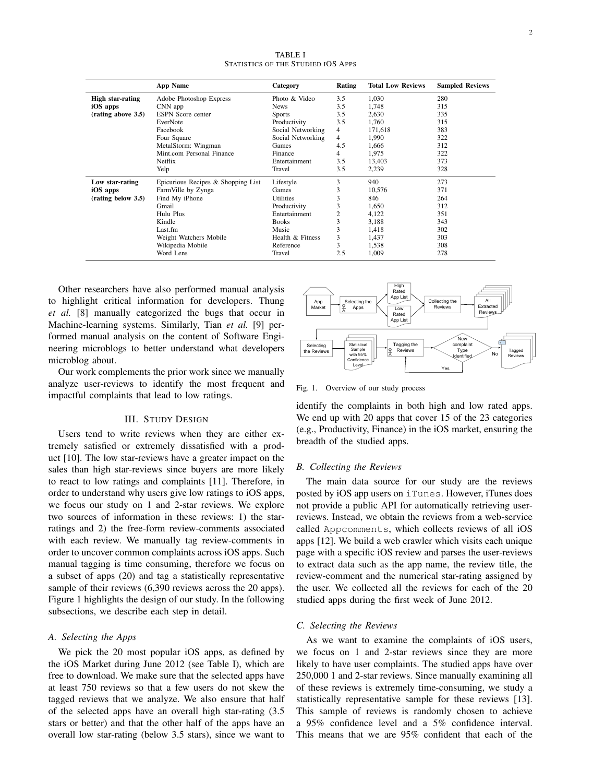App Name Category Rating Total Low Reviews Sampled Reviews **High star-rating** Adobe Photoshop Express Photo & Video 3.5 1,030 280<br> **iOS apps** CNN app News 3.5 1,748 315 **iOS apps** CNN app News 3.5 1,748 315 (rating above 3.5) ESPN Score center Sports 3.5 2,630 335<br>EverNote Productivity 3.5 1,760 315 EverNote Productivity 3.5 1,760 315<br>
Facebook Social Networking 4 171,618 383 Facebook Social Networking 4 171,618 383 Four Social Networking  $\begin{array}{ccc} 4 & 1,990 & 322 \\ 4.5 & 1,666 & 312 \end{array}$ MetalStorm: Wingman Games 4.<br>
Mint.com Personal Finance Binance 4.666 312 Mint.com Personal Finance Finance 4 1,975 322 Netflix **Entertainment** 3.5 13,403 373<br>
13.5 2,239 328 Yelp Travel 3.5 2,239 328 Low star-rating Bioracious Recipes & Shopping List Lifestyle 3 940 273<br>
iOS apps Farm Ville by Zynga Games 3 10,576 371 iOS apps FarmVille by Zynga Games 3 10,576 371 (**rating below 3.5**) Find My iPhone Utilities 3 846 264<br>
Gmail Productivity 3 1,650 312 Gmail **Example 3** 1,650 312 Hulu Plus Entertainment 2 4,122 351 Kindle Books 3 3,188 343 Last.fm Music 3 1,418 302 Weight Watchers Mobile Health & Fitness 3 1,437 303 Wikipedia Mobile **Reference** 3 1,538 308<br>
1,009 378 308 308<br>
2,5 1,009 378 Word Lens 2.5 1,009 278

TABLE I STATISTICS OF THE STUDIED IOS APPS

Other researchers have also performed manual analysis to highlight critical information for developers. Thung *et al.* [8] manually categorized the bugs that occur in Machine-learning systems. Similarly, Tian *et al.* [9] performed manual analysis on the content of Software Engineering microblogs to better understand what developers microblog about.

Our work complements the prior work since we manually analyze user-reviews to identify the most frequent and impactful complaints that lead to low ratings.

#### III. STUDY DESIGN

Users tend to write reviews when they are either extremely satisfied or extremely dissatisfied with a product [10]. The low star-reviews have a greater impact on the sales than high star-reviews since buyers are more likely to react to low ratings and complaints [11]. Therefore, in order to understand why users give low ratings to iOS apps, we focus our study on 1 and 2-star reviews. We explore two sources of information in these reviews: 1) the starratings and 2) the free-form review-comments associated with each review. We manually tag review-comments in order to uncover common complaints across iOS apps. Such manual tagging is time consuming, therefore we focus on a subset of apps (20) and tag a statistically representative sample of their reviews (6,390 reviews across the 20 apps). Figure 1 highlights the design of our study. In the following subsections, we describe each step in detail.

# *A. Selecting the Apps*

We pick the 20 most popular iOS apps, as defined by the iOS Market during June 2012 (see Table I), which are free to download. We make sure that the selected apps have at least 750 reviews so that a few users do not skew the tagged reviews that we analyze. We also ensure that half of the selected apps have an overall high star-rating (3.5 stars or better) and that the other half of the apps have an overall low star-rating (below 3.5 stars), since we want to



Fig. 1. Overview of our study process

identify the complaints in both high and low rated apps. We end up with 20 apps that cover 15 of the 23 categories (e.g., Productivity, Finance) in the iOS market, ensuring the breadth of the studied apps.

## *B. Collecting the Reviews*

The main data source for our study are the reviews posted by iOS app users on iTunes. However, iTunes does not provide a public API for automatically retrieving userreviews. Instead, we obtain the reviews from a web-service called Appcomments, which collects reviews of all iOS apps [12]. We build a web crawler which visits each unique page with a specific iOS review and parses the user-reviews to extract data such as the app name, the review title, the review-comment and the numerical star-rating assigned by the user. We collected all the reviews for each of the 20 studied apps during the first week of June 2012.

## *C. Selecting the Reviews*

As we want to examine the complaints of iOS users, we focus on 1 and 2-star reviews since they are more likely to have user complaints. The studied apps have over 250,000 1 and 2-star reviews. Since manually examining all of these reviews is extremely time-consuming, we study a statistically representative sample for these reviews [13]. This sample of reviews is randomly chosen to achieve a 95% confidence level and a 5% confidence interval. This means that we are 95% confident that each of the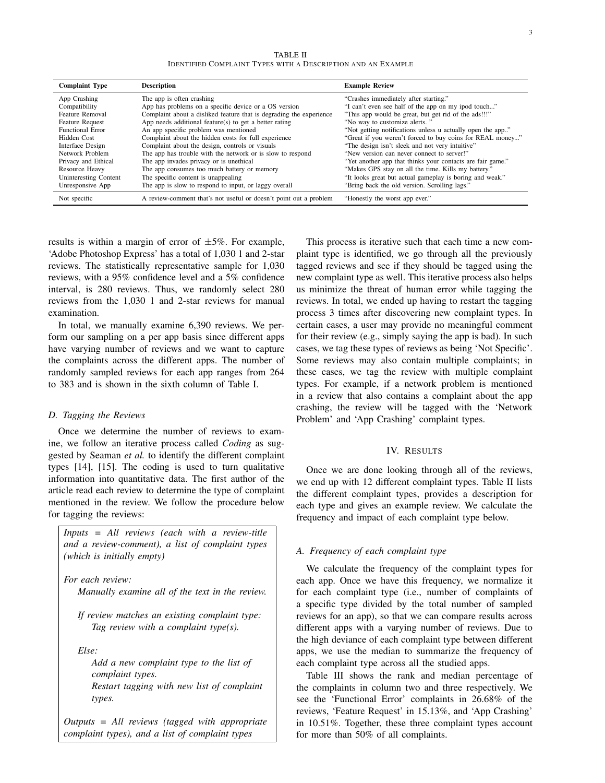3

TABLE II IDENTIFIED COMPLAINT TYPES WITH A DESCRIPTION AND AN EXAMPLE

| <b>Complaint Type</b>        | <b>Description</b>                                                  | <b>Example Review</b>                                      |
|------------------------------|---------------------------------------------------------------------|------------------------------------------------------------|
| App Crashing                 | The app is often crashing                                           | "Crashes immediately after starting."                      |
| Compatibility                | App has problems on a specific device or a OS version               | "I can't even see half of the app on my ipod touch"        |
| Feature Removal              | Complaint about a disliked feature that is degrading the experience | "This app would be great, but get rid of the ads!!!"       |
| <b>Feature Request</b>       | App needs additional feature(s) to get a better rating              | "No way to customize alerts."                              |
| <b>Functional Error</b>      | An app specific problem was mentioned                               | "Not getting notifications unless u actually open the app" |
| Hidden Cost                  | Complaint about the hidden costs for full experience                | "Great if you weren't forced to buy coins for REAL money"  |
| Interface Design             | Complaint about the design, controls or visuals                     | "The design isn't sleek and not very intuitive"            |
| Network Problem              | The app has trouble with the network or is slow to respond          | "New version can never connect to server!"                 |
| Privacy and Ethical          | The app invades privacy or is unethical                             | "Yet another app that thinks your contacts are fair game." |
| Resource Heavy               | The app consumes too much battery or memory                         | "Makes GPS stay on all the time. Kills my battery."        |
| <b>Uninteresting Content</b> | The specific content is unappealing                                 | "It looks great but actual gameplay is boring and weak."   |
| Unresponsive App             | The app is slow to respond to input, or laggy overall               | "Bring back the old version. Scrolling lags."              |
| Not specific                 | A review-comment that's not useful or doesn't point out a problem   | "Honestly the worst app ever."                             |

results is within a margin of error of  $\pm 5\%$ . For example, 'Adobe Photoshop Express' has a total of 1,030 1 and 2-star reviews. The statistically representative sample for 1,030 reviews, with a 95% confidence level and a 5% confidence interval, is 280 reviews. Thus, we randomly select 280 reviews from the 1,030 1 and 2-star reviews for manual examination.

In total, we manually examine 6,390 reviews. We perform our sampling on a per app basis since different apps have varying number of reviews and we want to capture the complaints across the different apps. The number of randomly sampled reviews for each app ranges from 264 to 383 and is shown in the sixth column of Table I.

## *D. Tagging the Reviews*

Once we determine the number of reviews to examine, we follow an iterative process called *Coding* as suggested by Seaman *et al.* to identify the different complaint types [14], [15]. The coding is used to turn qualitative information into quantitative data. The first author of the article read each review to determine the type of complaint mentioned in the review. We follow the procedure below for tagging the reviews:

*Inputs = All reviews (each with a review-title and a review-comment), a list of complaint types (which is initially empty)*

*For each review: Manually examine all of the text in the review.*

*If review matches an existing complaint type: Tag review with a complaint type(s).*

*Else:*

*Add a new complaint type to the list of complaint types. Restart tagging with new list of complaint types.*

*Outputs = All reviews (tagged with appropriate complaint types), and a list of complaint types*

This process is iterative such that each time a new complaint type is identified, we go through all the previously tagged reviews and see if they should be tagged using the new complaint type as well. This iterative process also helps us minimize the threat of human error while tagging the reviews. In total, we ended up having to restart the tagging process 3 times after discovering new complaint types. In certain cases, a user may provide no meaningful comment for their review (e.g., simply saying the app is bad). In such cases, we tag these types of reviews as being 'Not Specific'. Some reviews may also contain multiple complaints; in these cases, we tag the review with multiple complaint types. For example, if a network problem is mentioned in a review that also contains a complaint about the app crashing, the review will be tagged with the 'Network Problem' and 'App Crashing' complaint types.

# IV. RESULTS

Once we are done looking through all of the reviews, we end up with 12 different complaint types. Table II lists the different complaint types, provides a description for each type and gives an example review. We calculate the frequency and impact of each complaint type below.

## *A. Frequency of each complaint type*

We calculate the frequency of the complaint types for each app. Once we have this frequency, we normalize it for each complaint type (i.e., number of complaints of a specific type divided by the total number of sampled reviews for an app), so that we can compare results across different apps with a varying number of reviews. Due to the high deviance of each complaint type between different apps, we use the median to summarize the frequency of each complaint type across all the studied apps.

Table III shows the rank and median percentage of the complaints in column two and three respectively. We see the 'Functional Error' complaints in 26.68% of the reviews, 'Feature Request' in 15.13%, and 'App Crashing' in 10.51%. Together, these three complaint types account for more than 50% of all complaints.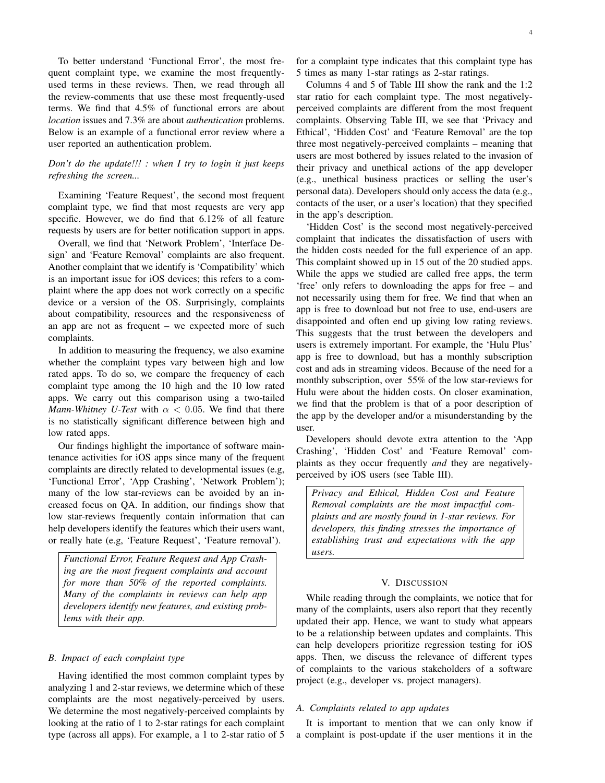To better understand 'Functional Error', the most frequent complaint type, we examine the most frequentlyused terms in these reviews. Then, we read through all the review-comments that use these most frequently-used terms. We find that 4.5% of functional errors are about *location* issues and 7.3% are about *authentication* problems. Below is an example of a functional error review where a user reported an authentication problem.

# *Don't do the update!!! : when I try to login it just keeps refreshing the screen...*

Examining 'Feature Request', the second most frequent complaint type, we find that most requests are very app specific. However, we do find that 6.12% of all feature requests by users are for better notification support in apps.

Overall, we find that 'Network Problem', 'Interface Design' and 'Feature Removal' complaints are also frequent. Another complaint that we identify is 'Compatibility' which is an important issue for iOS devices; this refers to a complaint where the app does not work correctly on a specific device or a version of the OS. Surprisingly, complaints about compatibility, resources and the responsiveness of an app are not as frequent – we expected more of such complaints.

In addition to measuring the frequency, we also examine whether the complaint types vary between high and low rated apps. To do so, we compare the frequency of each complaint type among the 10 high and the 10 low rated apps. We carry out this comparison using a two-tailed *Mann-Whitney U-Test* with  $\alpha$  < 0.05. We find that there is no statistically significant difference between high and low rated apps.

Our findings highlight the importance of software maintenance activities for iOS apps since many of the frequent complaints are directly related to developmental issues (e.g, 'Functional Error', 'App Crashing', 'Network Problem'); many of the low star-reviews can be avoided by an increased focus on QA. In addition, our findings show that low star-reviews frequently contain information that can help developers identify the features which their users want, or really hate (e.g, 'Feature Request', 'Feature removal').

*Functional Error, Feature Request and App Crashing are the most frequent complaints and account for more than 50% of the reported complaints. Many of the complaints in reviews can help app developers identify new features, and existing problems with their app.*

## *B. Impact of each complaint type*

Having identified the most common complaint types by analyzing 1 and 2-star reviews, we determine which of these complaints are the most negatively-perceived by users. We determine the most negatively-perceived complaints by looking at the ratio of 1 to 2-star ratings for each complaint type (across all apps). For example, a 1 to 2-star ratio of 5 for a complaint type indicates that this complaint type has 5 times as many 1-star ratings as 2-star ratings.

Columns 4 and 5 of Table III show the rank and the 1:2 star ratio for each complaint type. The most negativelyperceived complaints are different from the most frequent complaints. Observing Table III, we see that 'Privacy and Ethical', 'Hidden Cost' and 'Feature Removal' are the top three most negatively-perceived complaints – meaning that users are most bothered by issues related to the invasion of their privacy and unethical actions of the app developer (e.g., unethical business practices or selling the user's personal data). Developers should only access the data (e.g., contacts of the user, or a user's location) that they specified in the app's description.

'Hidden Cost' is the second most negatively-perceived complaint that indicates the dissatisfaction of users with the hidden costs needed for the full experience of an app. This complaint showed up in 15 out of the 20 studied apps. While the apps we studied are called free apps, the term 'free' only refers to downloading the apps for free – and not necessarily using them for free. We find that when an app is free to download but not free to use, end-users are disappointed and often end up giving low rating reviews. This suggests that the trust between the developers and users is extremely important. For example, the 'Hulu Plus' app is free to download, but has a monthly subscription cost and ads in streaming videos. Because of the need for a monthly subscription, over 55% of the low star-reviews for Hulu were about the hidden costs. On closer examination, we find that the problem is that of a poor description of the app by the developer and/or a misunderstanding by the user.

Developers should devote extra attention to the 'App Crashing', 'Hidden Cost' and 'Feature Removal' complaints as they occur frequently *and* they are negativelyperceived by iOS users (see Table III).

*Privacy and Ethical, Hidden Cost and Feature Removal complaints are the most impactful complaints and are mostly found in 1-star reviews. For developers, this finding stresses the importance of establishing trust and expectations with the app users.*

## V. DISCUSSION

While reading through the complaints, we notice that for many of the complaints, users also report that they recently updated their app. Hence, we want to study what appears to be a relationship between updates and complaints. This can help developers prioritize regression testing for iOS apps. Then, we discuss the relevance of different types of complaints to the various stakeholders of a software project (e.g., developer vs. project managers).

## *A. Complaints related to app updates*

It is important to mention that we can only know if a complaint is post-update if the user mentions it in the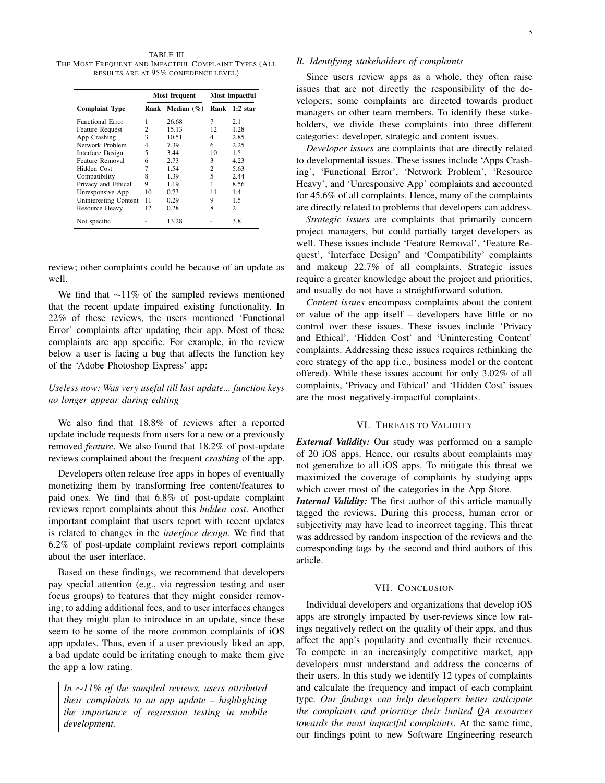TABLE III THE MOST FREQUENT AND IMPACTFUL COMPLAINT TYPES (ALL RESULTS ARE AT 95% CONFIDENCE LEVEL)

|                         | Most frequent  |               | Most impactful |               |
|-------------------------|----------------|---------------|----------------|---------------|
| <b>Complaint Type</b>   | Rank           | Median $(\%)$ |                | Rank 1:2 star |
| <b>Functional Error</b> | 1              | 26.68         | 7              | 2.1           |
| <b>Feature Request</b>  | 2              | 15.13         | 12             | 1.28          |
| App Crashing            | 3              | 10.51         | 4              | 2.85          |
| Network Problem         | $\overline{4}$ | 7.39          | 6              | 2.25          |
| Interface Design        | 5              | 3.44          | 10             | 1.5           |
| <b>Feature Removal</b>  | 6              | 2.73          | 3              | 4.23          |
| Hidden Cost             | 7              | 1.54          | $\overline{c}$ | 5.63          |
| Compatibility           | 8              | 1.39          | 5              | 2.44          |
| Privacy and Ethical     | 9              | 1.19          |                | 8.56          |
| Unresponsive App        | 10             | 0.73          | 11             | 1.4           |
| Uninteresting Content   | 11             | 0.29          | 9              | 1.5           |
| <b>Resource Heavy</b>   | 12             | 0.28          | 8              | 2             |
| Not specific            |                | 13.28         |                | 3.8           |

review; other complaints could be because of an update as well.

We find that  $\sim$ 11% of the sampled reviews mentioned that the recent update impaired existing functionality. In 22% of these reviews, the users mentioned 'Functional Error' complaints after updating their app. Most of these complaints are app specific. For example, in the review below a user is facing a bug that affects the function key of the 'Adobe Photoshop Express' app:

# *Useless now: Was very useful till last update... function keys no longer appear during editing*

We also find that 18.8% of reviews after a reported update include requests from users for a new or a previously removed *feature*. We also found that 18.2% of post-update reviews complained about the frequent *crashing* of the app.

Developers often release free apps in hopes of eventually monetizing them by transforming free content/features to paid ones. We find that 6.8% of post-update complaint reviews report complaints about this *hidden cost*. Another important complaint that users report with recent updates is related to changes in the *interface design*. We find that 6.2% of post-update complaint reviews report complaints about the user interface.

Based on these findings, we recommend that developers pay special attention (e.g., via regression testing and user focus groups) to features that they might consider removing, to adding additional fees, and to user interfaces changes that they might plan to introduce in an update, since these seem to be some of the more common complaints of iOS app updates. Thus, even if a user previously liked an app, a bad update could be irritating enough to make them give the app a low rating.

*In* ∼*11% of the sampled reviews, users attributed their complaints to an app update – highlighting the importance of regression testing in mobile development.*

#### *B. Identifying stakeholders of complaints*

Since users review apps as a whole, they often raise issues that are not directly the responsibility of the developers; some complaints are directed towards product managers or other team members. To identify these stakeholders, we divide these complaints into three different categories: developer, strategic and content issues.

*Developer issues* are complaints that are directly related to developmental issues. These issues include 'Apps Crashing', 'Functional Error', 'Network Problem', 'Resource Heavy', and 'Unresponsive App' complaints and accounted for 45.6% of all complaints. Hence, many of the complaints are directly related to problems that developers can address.

*Strategic issues* are complaints that primarily concern project managers, but could partially target developers as well. These issues include 'Feature Removal', 'Feature Request', 'Interface Design' and 'Compatibility' complaints and makeup 22.7% of all complaints. Strategic issues require a greater knowledge about the project and priorities, and usually do not have a straightforward solution.

*Content issues* encompass complaints about the content or value of the app itself – developers have little or no control over these issues. These issues include 'Privacy and Ethical', 'Hidden Cost' and 'Uninteresting Content' complaints. Addressing these issues requires rethinking the core strategy of the app (i.e., business model or the content offered). While these issues account for only 3.02% of all complaints, 'Privacy and Ethical' and 'Hidden Cost' issues are the most negatively-impactful complaints.

## VI. THREATS TO VALIDITY

*External Validity:* Our study was performed on a sample of 20 iOS apps. Hence, our results about complaints may not generalize to all iOS apps. To mitigate this threat we maximized the coverage of complaints by studying apps which cover most of the categories in the App Store.

*Internal Validity:* The first author of this article manually tagged the reviews. During this process, human error or subjectivity may have lead to incorrect tagging. This threat was addressed by random inspection of the reviews and the corresponding tags by the second and third authors of this article.

## VII. CONCLUSION

Individual developers and organizations that develop iOS apps are strongly impacted by user-reviews since low ratings negatively reflect on the quality of their apps, and thus affect the app's popularity and eventually their revenues. To compete in an increasingly competitive market, app developers must understand and address the concerns of their users. In this study we identify 12 types of complaints and calculate the frequency and impact of each complaint type. *Our findings can help developers better anticipate the complaints and prioritize their limited QA resources towards the most impactful complaints*. At the same time, our findings point to new Software Engineering research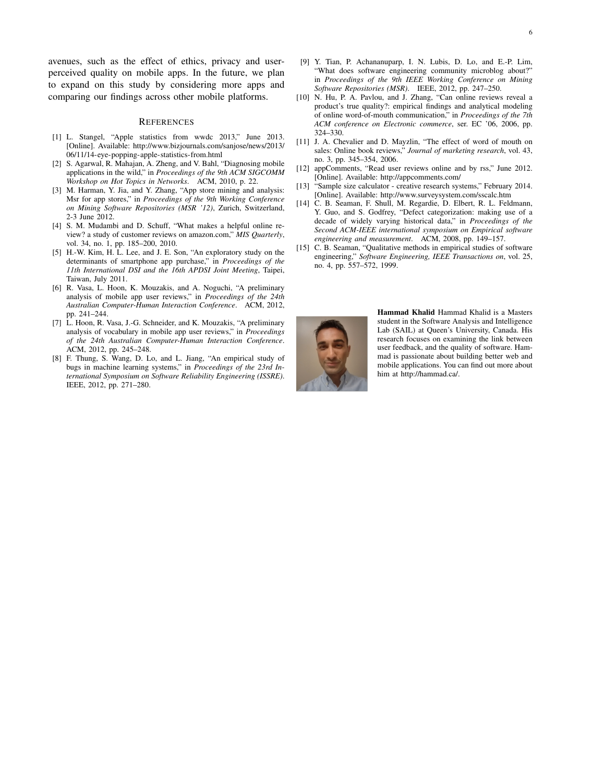avenues, such as the effect of ethics, privacy and userperceived quality on mobile apps. In the future, we plan to expand on this study by considering more apps and comparing our findings across other mobile platforms.

#### **REFERENCES**

- [1] L. Stangel, "Apple statistics from wwdc 2013," June 2013. [Online]. Available: http://www.bizjournals.com/sanjose/news/2013/ 06/11/14-eye-popping-apple-statistics-from.html
- [2] S. Agarwal, R. Mahajan, A. Zheng, and V. Bahl, "Diagnosing mobile applications in the wild," in *Proceedings of the 9th ACM SIGCOMM Workshop on Hot Topics in Networks*. ACM, 2010, p. 22.
- [3] M. Harman, Y. Jia, and Y. Zhang, "App store mining and analysis: Msr for app stores," in *Proceedings of the 9th Working Conference on Mining Software Repositories (MSR '12)*, Zurich, Switzerland, 2-3 June 2012.
- [4] S. M. Mudambi and D. Schuff, "What makes a helpful online review? a study of customer reviews on amazon.com," *MIS Quarterly*, vol. 34, no. 1, pp. 185–200, 2010.
- [5] H.-W. Kim, H. L. Lee, and J. E. Son, "An exploratory study on the determinants of smartphone app purchase," in *Proceedings of the 11th International DSI and the 16th APDSI Joint Meeting*, Taipei, Taiwan, July 2011.
- [6] R. Vasa, L. Hoon, K. Mouzakis, and A. Noguchi, "A preliminary analysis of mobile app user reviews," in *Proceedings of the 24th Australian Computer-Human Interaction Conference*. ACM, 2012, pp. 241–244.
- [7] L. Hoon, R. Vasa, J.-G. Schneider, and K. Mouzakis, "A preliminary analysis of vocabulary in mobile app user reviews," in *Proceedings of the 24th Australian Computer-Human Interaction Conference*. ACM, 2012, pp. 245–248.
- [8] F. Thung, S. Wang, D. Lo, and L. Jiang, "An empirical study of bugs in machine learning systems," in *Proceedings of the 23rd International Symposium on Software Reliability Engineering (ISSRE)*. IEEE, 2012, pp. 271–280.
- [9] Y. Tian, P. Achananuparp, I. N. Lubis, D. Lo, and E.-P. Lim, "What does software engineering community microblog about?" in *Proceedings of the 9th IEEE Working Conference on Mining Software Repositories (MSR)*. IEEE, 2012, pp. 247–250.
- [10] N. Hu, P. A. Pavlou, and J. Zhang, "Can online reviews reveal a product's true quality?: empirical findings and analytical modeling of online word-of-mouth communication," in *Proceedings of the 7th ACM conference on Electronic commerce*, ser. EC '06, 2006, pp. 324–330.
- [11] J. A. Chevalier and D. Mayzlin, "The effect of word of mouth on sales: Online book reviews," *Journal of marketing research*, vol. 43, no. 3, pp. 345–354, 2006.
- [12] appComments, "Read user reviews online and by rss," June 2012. [Online]. Available: http://appcomments.com/
- [13] "Sample size calculator creative research systems," February 2014. [Online]. Available: http://www.surveysystem.com/sscalc.htm
- [14] C. B. Seaman, F. Shull, M. Regardie, D. Elbert, R. L. Feldmann, Y. Guo, and S. Godfrey, "Defect categorization: making use of a decade of widely varying historical data," in *Proceedings of the Second ACM-IEEE international symposium on Empirical software engineering and measurement*. ACM, 2008, pp. 149–157.
- [15] C. B. Seaman, "Qualitative methods in empirical studies of software engineering," *Software Engineering, IEEE Transactions on*, vol. 25, no. 4, pp. 557–572, 1999.



Hammad Khalid Hammad Khalid is a Masters student in the Software Analysis and Intelligence Lab (SAIL) at Queen's University, Canada. His research focuses on examining the link between user feedback, and the quality of software. Hammad is passionate about building better web and mobile applications. You can find out more about him at http://hammad.ca/.